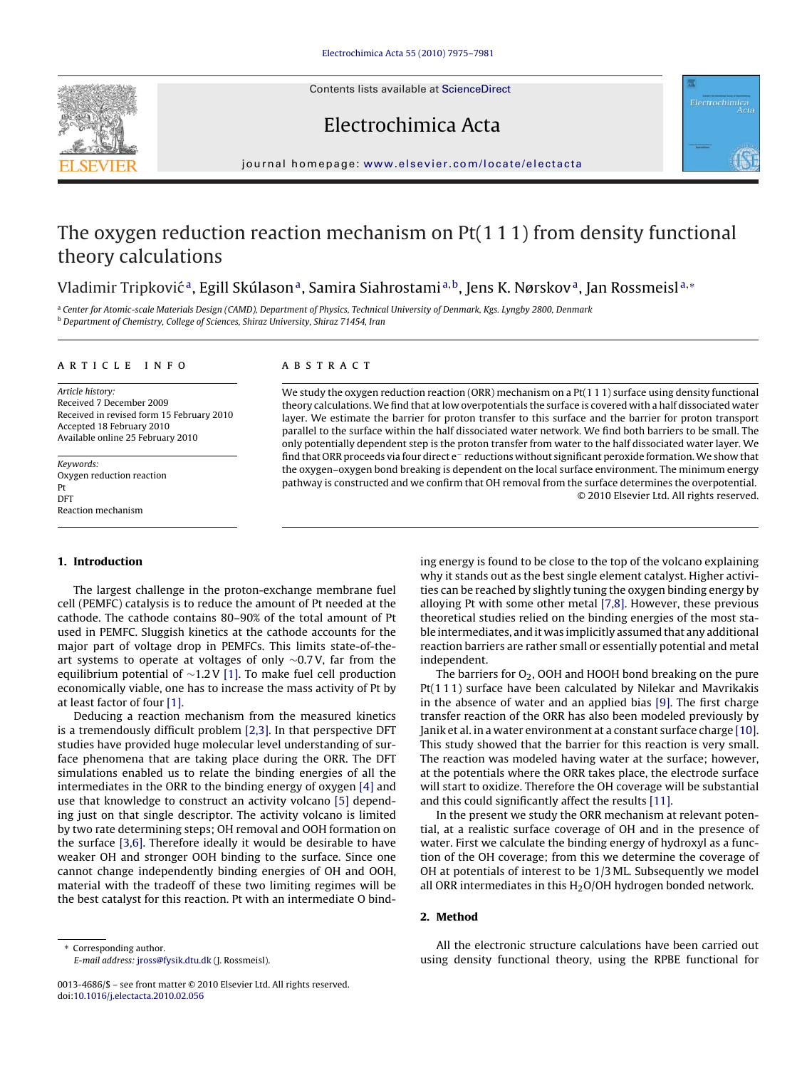Contents lists available at [ScienceDirect](http://www.sciencedirect.com/science/journal/00134686)





# Electrochimica Acta

journal homepage: [www.elsevier.com/locate/electacta](http://www.elsevier.com/locate/electacta)

# The oxygen reduction reaction mechanism on Pt(1 1 1) from density functional theory calculations

# Vladimir Tripković<sup>a</sup>, Egill Skúlason<sup>a</sup>, Samira Siahrostami<sup>a,b</sup>, Jens K. Nørskov<sup>a</sup>, Jan Rossmeisl<sup>a,∗</sup>

a Center for Atomic-scale Materials Design (CAMD), Department of Physics, Technical University of Denmark, Kgs. Lyngby 2800, Denmark <sup>b</sup> Department of Chemistry, College of Sciences, Shiraz University, Shiraz 71454, Iran

#### article info

Article history: Received 7 December 2009 Received in revised form 15 February 2010 Accepted 18 February 2010 Available online 25 February 2010

Keywords: Oxygen reduction reaction Pt DFT Reaction mechanism

## **1. Introduction**

# The largest challenge in the proton-exchange membrane fuel cell (PEMFC) catalysis is to reduce the amount of Pt needed at the cathode. The cathode contains 80–90% of the total amount of Pt used in PEMFC. Sluggish kinetics at the cathode accounts for the major part of voltage drop in PEMFCs. This limits state-of-theart systems to operate at voltages of only ∼0.7 V, far from the equilibrium potential of ∼1.2 V [\[1\]. T](#page-5-0)o make fuel cell production economically viable, one has to increase the mass activity of Pt by at least factor of four [\[1\].](#page-5-0)

Deducing a reaction mechanism from the measured kinetics is a tremendously difficult problem [\[2,3\]. I](#page-5-0)n that perspective DFT studies have provided huge molecular level understanding of surface phenomena that are taking place during the ORR. The DFT simulations enabled us to relate the binding energies of all the intermediates in the ORR to the binding energy of oxygen [\[4\]](#page-5-0) and use that knowledge to construct an activity volcano [\[5\]](#page-5-0) depending just on that single descriptor. The activity volcano is limited by two rate determining steps; OH removal and OOH formation on the surface [\[3,6\].](#page-5-0) Therefore ideally it would be desirable to have weaker OH and stronger OOH binding to the surface. Since one cannot change independently binding energies of OH and OOH, material with the tradeoff of these two limiting regimes will be the best catalyst for this reaction. Pt with an intermediate O bind-

#### **ABSTRACT**

We study the oxygen reduction reaction (ORR) mechanism on a Pt(111) surface using density functional theory calculations.We find that at low overpotentials the surface is covered with a half dissociated water layer. We estimate the barrier for proton transfer to this surface and the barrier for proton transport parallel to the surface within the half dissociated water network. We find both barriers to be small. The only potentially dependent step is the proton transfer from water to the half dissociated water layer. We find that ORR proceeds via four direct e<sup>−</sup> reductions without significant peroxide formation.We show that the oxygen–oxygen bond breaking is dependent on the local surface environment. The minimum energy pathway is constructed and we confirm that OH removal from the surface determines the overpotential. © 2010 Elsevier Ltd. All rights reserved.

> ing energy is found to be close to the top of the volcano explaining why it stands out as the best single element catalyst. Higher activities can be reached by slightly tuning the oxygen binding energy by alloying Pt with some other metal [\[7,8\]. H](#page-5-0)owever, these previous theoretical studies relied on the binding energies of the most stable intermediates, and it was implicitly assumed that any additional reaction barriers are rather small or essentially potential and metal independent.

> The barriers for  $O<sub>2</sub>$ , OOH and HOOH bond breaking on the pure Pt(1 1 1) surface have been calculated by Nilekar and Mavrikakis in the absence of water and an applied bias [\[9\]. T](#page-5-0)he first charge transfer reaction of the ORR has also been modeled previously by Janik et al. in a water environment at a constant surface charge [\[10\].](#page-5-0) This study showed that the barrier for this reaction is very small. The reaction was modeled having water at the surface; however, at the potentials where the ORR takes place, the electrode surface will start to oxidize. Therefore the OH coverage will be substantial and this could significantly affect the results [\[11\].](#page-5-0)

> In the present we study the ORR mechanism at relevant potential, at a realistic surface coverage of OH and in the presence of water. First we calculate the binding energy of hydroxyl as a function of the OH coverage; from this we determine the coverage of OH at potentials of interest to be 1/3 ML. Subsequently we model all ORR intermediates in this  $H<sub>2</sub>O/OH$  hydrogen bonded network.

# **2. Method**

All the electronic structure calculations have been carried out using density functional theory, using the RPBE functional for

Corresponding author. E-mail address: [jross@fysik.dtu.dk](mailto:jross@fysik.dtu.dk) (J. Rossmeisl).

<sup>0013-4686/\$ –</sup> see front matter © 2010 Elsevier Ltd. All rights reserved. doi:[10.1016/j.electacta.2010.02.056](dx.doi.org/10.1016/j.electacta.2010.02.056)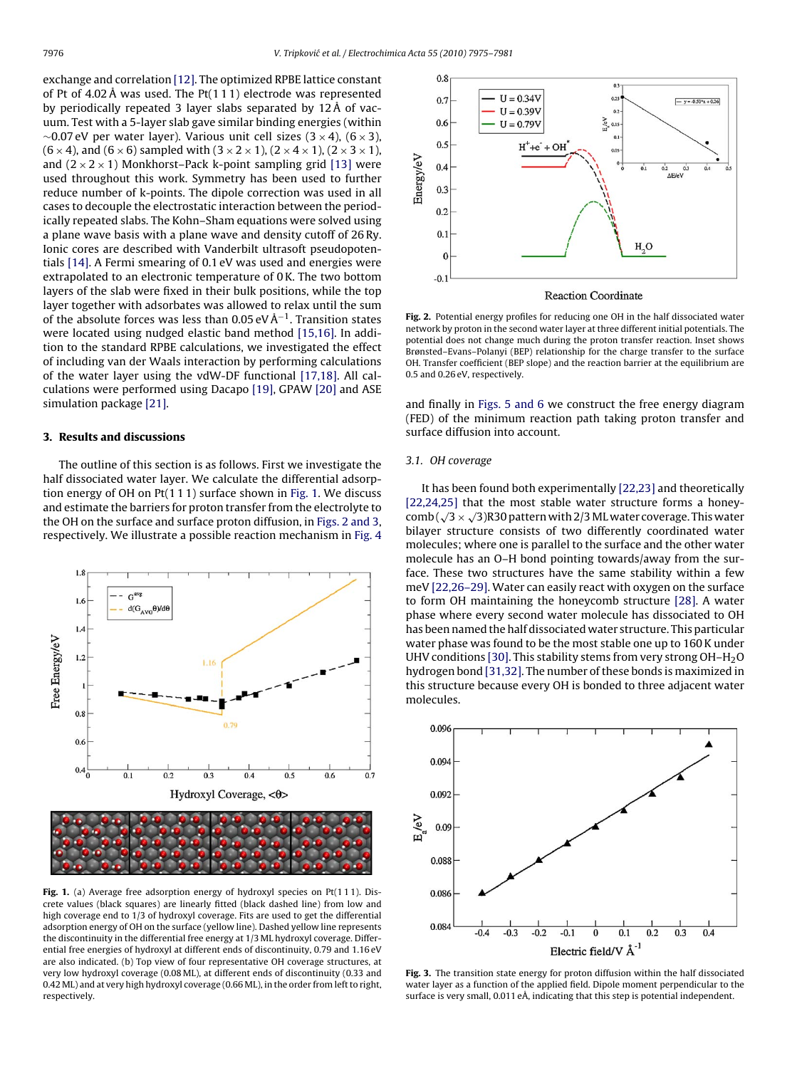<span id="page-1-0"></span>exchange and correlation [\[12\]. T](#page-5-0)he optimized RPBE lattice constant of Pt of 4.02 Å was used. The Pt(1 1 1) electrode was represented by periodically repeated 3 layer slabs separated by 12 Å of vacuum. Test with a 5-layer slab gave similar binding energies (within  $\sim$ 0.07 eV per water layer). Various unit cell sizes (3 × 4), (6 × 3),  $(6 \times 4)$ , and  $(6 \times 6)$  sampled with  $(3 \times 2 \times 1)$ ,  $(2 \times 4 \times 1)$ ,  $(2 \times 3 \times 1)$ , and  $(2 \times 2 \times 1)$  Monkhorst–Pack k-point sampling grid [\[13\]](#page-5-0) were used throughout this work. Symmetry has been used to further reduce number of k-points. The dipole correction was used in all cases to decouple the electrostatic interaction between the periodically repeated slabs. The Kohn–Sham equations were solved using a plane wave basis with a plane wave and density cutoff of 26 Ry. Ionic cores are described with Vanderbilt ultrasoft pseudopotentials [\[14\]. A](#page-5-0) Fermi smearing of 0.1 eV was used and energies were extrapolated to an electronic temperature of 0 K. The two bottom layers of the slab were fixed in their bulk positions, while the top layer together with adsorbates was allowed to relax until the sum of the absolute forces was less than 0.05 eV Å−1. Transition states were located using nudged elastic band method [\[15,16\].](#page-5-0) In addition to the standard RPBE calculations, we investigated the effect of including van der Waals interaction by performing calculations of the water layer using the vdW-DF functional [\[17,18\].](#page-5-0) All calculations were performed using Dacapo [\[19\], G](#page-5-0)PAW [\[20\]](#page-5-0) and ASE simulation package [\[21\].](#page-6-0)

#### **3. Results and discussions**

The outline of this section is as follows. First we investigate the half dissociated water layer. We calculate the differential adsorption energy of OH on Pt(1 1 1) surface shown in Fig. 1. We discuss and estimate the barriers for proton transfer from the electrolyte to the OH on the surface and surface proton diffusion, in Figs. 2 and 3, respectively. We illustrate a possible reaction mechanism in [Fig. 4](#page-2-0)



Fig. 1. (a) Average free adsorption energy of hydroxyl species on Pt(111). Discrete values (black squares) are linearly fitted (black dashed line) from low and high coverage end to 1/3 of hydroxyl coverage. Fits are used to get the differential adsorption energy of OH on the surface (yellow line). Dashed yellow line represents the discontinuity in the differential free energy at 1/3 ML hydroxyl coverage. Differential free energies of hydroxyl at different ends of discontinuity, 0.79 and 1.16 eV are also indicated. (b) Top view of four representative OH coverage structures, at very low hydroxyl coverage (0.08 ML), at different ends of discontinuity (0.33 and 0.42 ML) and at very high hydroxyl coverage (0.66 ML), in the order from left to right, respectively.



**Fig. 2.** Potential energy profiles for reducing one OH in the half dissociated water network by proton in the second water layer at three different initial potentials. The potential does not change much during the proton transfer reaction. Inset shows Brønsted–Evans–Polanyi (BEP) relationship for the charge transfer to the surface OH. Transfer coefficient (BEP slope) and the reaction barrier at the equilibrium are 0.5 and 0.26 eV, respectively.

and finally in [Figs. 5 and 6](#page-3-0) we construct the free energy diagram (FED) of the minimum reaction path taking proton transfer and surface diffusion into account.

## 3.1. OH coverage

It has been found both experimentally [\[22,23\]](#page-6-0) and theoretically [\[22,24,25\]](#page-6-0) that the most stable water structure forms a honeycomb  $(\sqrt{3} \times \sqrt{3})$ R30 pattern with 2/3 ML water coverage. This water bilayer structure consists of two differently coordinated water molecules; where one is parallel to the surface and the other water molecule has an O–H bond pointing towards/away from the surface. These two structures have the same stability within a few meV [\[22,26–29\]. W](#page-6-0)ater can easily react with oxygen on the surface to form OH maintaining the honeycomb structure [\[28\]. A](#page-6-0) water phase where every second water molecule has dissociated to OH has been named the half dissociated water structure. This particular water phase was found to be the most stable one up to 160 K under UHV conditions [\[30\]. T](#page-6-0)his stability stems from very strong  $OH-H<sub>2</sub>O$ hydrogen bond [\[31,32\]. T](#page-6-0)he number of these bonds is maximized in this structure because every OH is bonded to three adjacent water molecules.



**Fig. 3.** The transition state energy for proton diffusion within the half dissociated water layer as a function of the applied field. Dipole moment perpendicular to the surface is very small, 0.011 eÅ, indicating that this step is potential independent.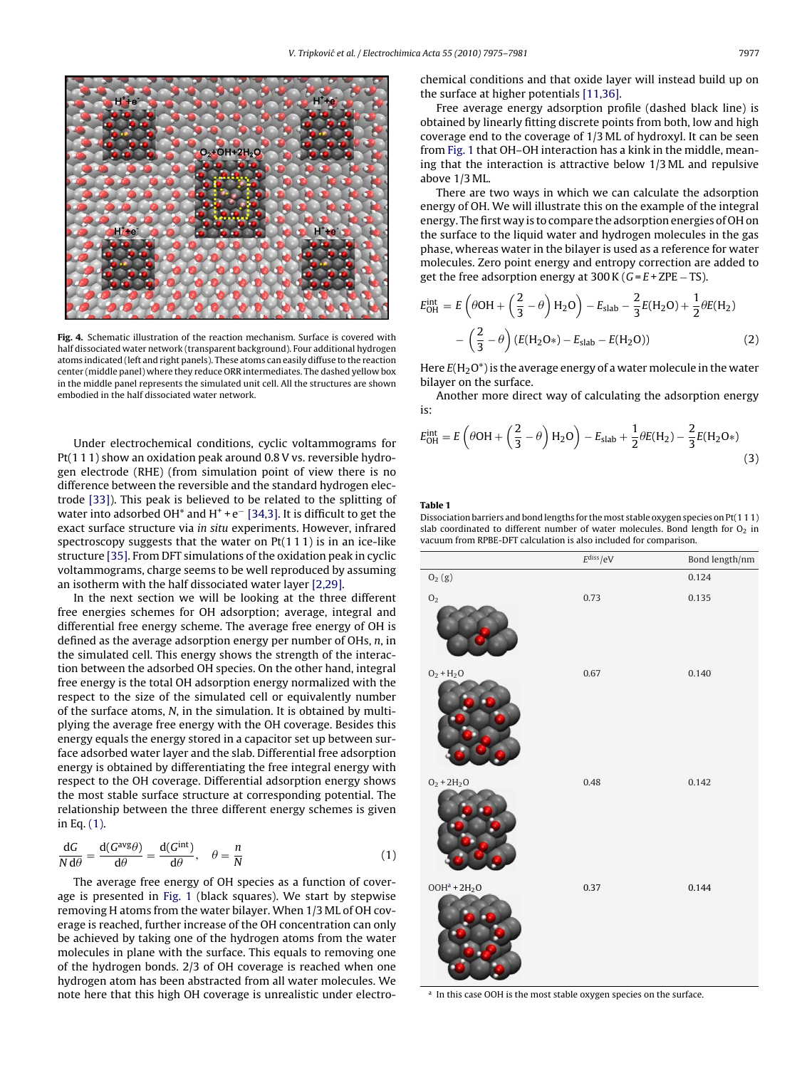<span id="page-2-0"></span>

**Fig. 4.** Schematic illustration of the reaction mechanism. Surface is covered with half dissociated water network (transparent background). Four additional hydrogen atoms indicated (left and right panels). These atoms can easily diffuse to the reaction center (middle panel) where they reduce ORR intermediates. The dashed yellow box in the middle panel represents the simulated unit cell. All the structures are shown embodied in the half dissociated water network.

Under electrochemical conditions, cyclic voltammograms for Pt(1 1 1) show an oxidation peak around 0.8 V vs. reversible hydrogen electrode (RHE) (from simulation point of view there is no difference between the reversible and the standard hydrogen electrode [\[33\]\).](#page-6-0) This peak is believed to be related to the splitting of water into adsorbed OH\* and H<sup>+</sup> + e<sup> $-$ </sup> [\[34,3\]. I](#page-6-0)t is difficult to get the exact surface structure via in situ experiments. However, infrared spectroscopy suggests that the water on  $Pt(111)$  is in an ice-like structure [\[35\]. F](#page-6-0)rom DFT simulations of the oxidation peak in cyclic voltammograms, charge seems to be well reproduced by assuming an isotherm with the half dissociated water layer [\[2,29\].](#page-5-0)

In the next section we will be looking at the three different free energies schemes for OH adsorption; average, integral and differential free energy scheme. The average free energy of OH is defined as the average adsorption energy per number of OHs, n, in the simulated cell. This energy shows the strength of the interaction between the adsorbed OH species. On the other hand, integral free energy is the total OH adsorption energy normalized with the respect to the size of the simulated cell or equivalently number of the surface atoms, N, in the simulation. It is obtained by multiplying the average free energy with the OH coverage. Besides this energy equals the energy stored in a capacitor set up between surface adsorbed water layer and the slab. Differential free adsorption energy is obtained by differentiating the free integral energy with respect to the OH coverage. Differential adsorption energy shows the most stable surface structure at corresponding potential. The relationship between the three different energy schemes is given in Eq. (1).

$$
\frac{\mathrm{d}G}{N \,\mathrm{d}\theta} = \frac{\mathrm{d}(G^{\text{avg}}\theta)}{\mathrm{d}\theta} = \frac{\mathrm{d}(G^{\text{int}})}{\mathrm{d}\theta}, \quad \theta = \frac{n}{N} \tag{1}
$$

The average free energy of OH species as a function of coverage is presented in [Fig. 1](#page-1-0) (black squares). We start by stepwise removing H atoms from the water bilayer. When 1/3 ML of OH coverage is reached, further increase of the OH concentration can only be achieved by taking one of the hydrogen atoms from the water molecules in plane with the surface. This equals to removing one of the hydrogen bonds. 2/3 of OH coverage is reached when one hydrogen atom has been abstracted from all water molecules. We note here that this high OH coverage is unrealistic under electrochemical conditions and that oxide layer will instead build up on the surface at higher potentials [\[11,36\].](#page-5-0)

Free average energy adsorption profile (dashed black line) is obtained by linearly fitting discrete points from both, low and high coverage end to the coverage of 1/3 ML of hydroxyl. It can be seen from [Fig. 1](#page-1-0) that OH–OH interaction has a kink in the middle, meaning that the interaction is attractive below 1/3 ML and repulsive above 1/3 ML.

There are two ways in which we can calculate the adsorption energy of OH. We will illustrate this on the example of the integral energy. The first way is to compare the adsorption energies of OH on the surface to the liquid water and hydrogen molecules in the gas phase, whereas water in the bilayer is used as a reference for water molecules. Zero point energy and entropy correction are added to get the free adsorption energy at  $300$  K ( $G = E + ZPE - TS$ ).

$$
E_{\text{OH}}^{\text{int}} = E \left( \theta \text{OH} + \left( \frac{2}{3} - \theta \right) H_2 \text{O} \right) - E_{\text{slab}} - \frac{2}{3} E (H_2 \text{O}) + \frac{1}{2} \theta E (H_2) - \left( \frac{2}{3} - \theta \right) (E (H_2 \text{O*}) - E_{\text{slab}} - E (H_2 \text{O}))
$$
(2)

Here  $E(H_2O^*)$  is the average energy of a water molecule in the water bilayer on the surface.

Another more direct way of calculating the adsorption energy is:

$$
E_{\text{OH}}^{\text{int}} = E \left( \theta \text{OH} + \left( \frac{2}{3} - \theta \right) H_2 \text{O} \right) - E_{\text{slab}} + \frac{1}{2} \theta E(H_2) - \frac{2}{3} E(H_2 \text{O*})
$$
\n(3)

## **Table 1**

Dissociation barriers and bond lengths for themost stable oxygen species on Pt(1 1 1) slab coordinated to different number of water molecules. Bond length for  $O<sub>2</sub>$  in vacuum from RPBE-DFT calculation is also included for comparison.

|                        | E <sup>diss</sup> /eV | Bond length/nm |
|------------------------|-----------------------|----------------|
| ${\rm O}_2\;({\rm g})$ |                       | 0.124          |
| $\mathrm{O}_2$         | 0.73                  | 0.135          |
| $O_2 + H_2O$           | 0.67                  | 0.140          |
| $O_2 + 2H_2O$          | 0.48                  | 0.142          |
| $OOHa + 2H2O$          | 0.37                  | 0.144          |

In this case OOH is the most stable oxygen species on the surface.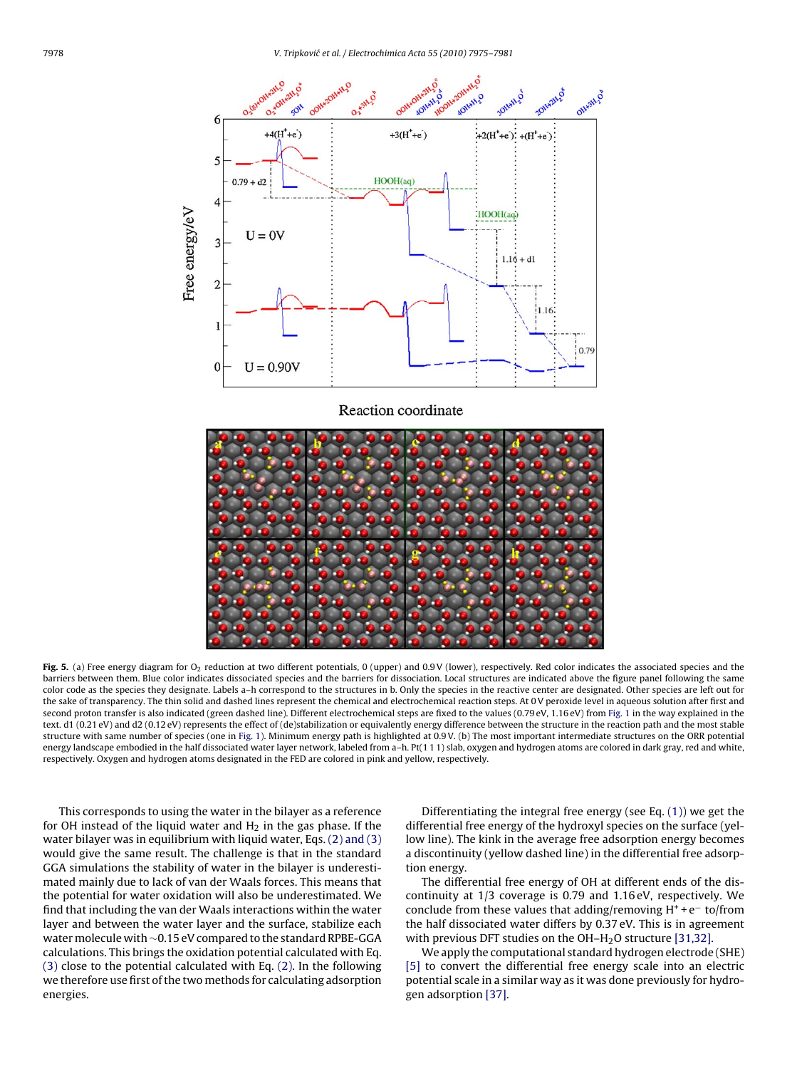<span id="page-3-0"></span>

Reaction coordinate



Fig. 5. (a) Free energy diagram for O<sub>2</sub> reduction at two different potentials, 0 (upper) and 0.9 V (lower), respectively. Red color indicates the associated species and the barriers between them. Blue color indicates dissociated species and the barriers for dissociation. Local structures are indicated above the figure panel following the same color code as the species they designate. Labels a–h correspond to the structures in b. Only the species in the reactive center are designated. Other species are left out for the sake of transparency. The thin solid and dashed lines represent the chemical and electrochemical reaction steps. At 0 V peroxide level in aqueous solution after first and second proton transfer is also indicated (green dashed line). Different electrochemical steps are fixed to the values (0.79 eV, 1.16 eV) from [Fig. 1](#page-1-0) in the way explained in the text. d1 (0.21 eV) and d2 (0.12 eV) represents the effect of (de)stabilization or equivalently energy difference between the structure in the reaction path and the most stable structure with same number of species (one in [Fig. 1\).](#page-1-0) Minimum energy path is highlighted at 0.9 V. (b) The most important intermediate structures on the ORR potential energy landscape embodied in the half dissociated water layer network, labeled from a-h. Pt(111) slab, oxygen and hydrogen atoms are colored in dark gray, red and white, respectively. Oxygen and hydrogen atoms designated in the FED are colored in pink and yellow, respectively.

This corresponds to using the water in the bilayer as a reference for OH instead of the liquid water and  $H_2$  in the gas phase. If the water bilayer was in equilibrium with liquid water, Eqs. [\(2\) and \(3\)](#page-2-0) would give the same result. The challenge is that in the standard GGA simulations the stability of water in the bilayer is underestimated mainly due to lack of van der Waals forces. This means that the potential for water oxidation will also be underestimated. We find that including the van der Waals interactions within the water layer and between the water layer and the surface, stabilize each water molecule with ∼0.15 eV compared to the standard RPBE-GGA calculations. This brings the oxidation potential calculated with Eq. [\(3\)](#page-2-0) close to the potential calculated with Eq. [\(2\). I](#page-2-0)n the following we therefore use first of the two methods for calculating adsorption energies.

Differentiating the integral free energy (see Eq. [\(1\)\)](#page-2-0) we get the differential free energy of the hydroxyl species on the surface (yellow line). The kink in the average free adsorption energy becomes a discontinuity (yellow dashed line) in the differential free adsorption energy.

The differential free energy of OH at different ends of the discontinuity at 1/3 coverage is 0.79 and 1.16 eV, respectively. We conclude from these values that adding/removing  $H^+ + e^-$  to/from the half dissociated water differs by 0.37 eV. This is in agreement with previous DFT studies on the OH-H<sub>2</sub>O structure [\[31,32\].](#page-6-0)

We apply the computational standard hydrogen electrode (SHE) [\[5\]](#page-5-0) to convert the differential free energy scale into an electric potential scale in a similar way as it was done previously for hydrogen adsorption [\[37\].](#page-6-0)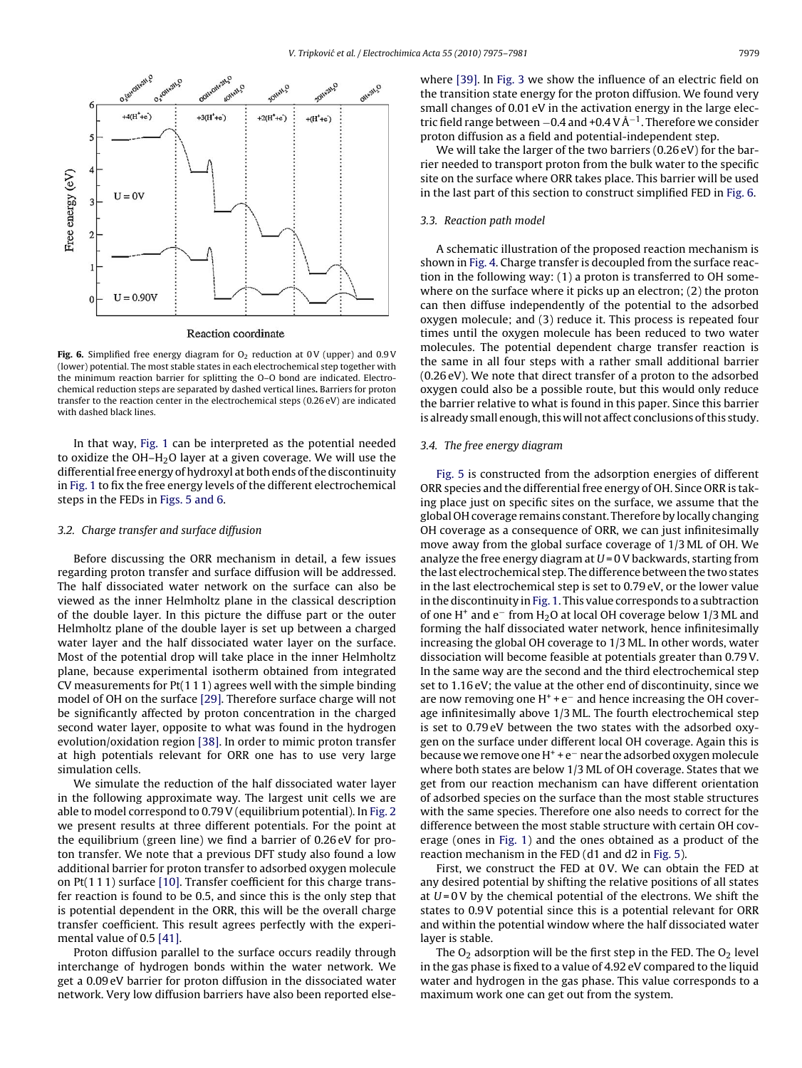<span id="page-4-0"></span>

Reaction coordinate

Fig. 6. Simplified free energy diagram for O<sub>2</sub> reduction at 0V (upper) and 0.9V (lower) potential. The most stable states in each electrochemical step together with the minimum reaction barrier for splitting the O–O bond are indicated. Electrochemical reduction steps are separated by dashed vertical lines**.** Barriers for proton transfer to the reaction center in the electrochemical steps (0.26 eV) are indicated with dashed black lines

In that way, [Fig. 1](#page-1-0) can be interpreted as the potential needed to oxidize the  $OH-H<sub>2</sub>O$  layer at a given coverage. We will use the differential free energy of hydroxyl at both ends of the discontinuity in [Fig. 1](#page-1-0) to fix the free energy levels of the different electrochemical steps in the FEDs in [Figs. 5 and 6.](#page-3-0)

#### 3.2. Charge transfer and surface diffusion

Before discussing the ORR mechanism in detail, a few issues regarding proton transfer and surface diffusion will be addressed. The half dissociated water network on the surface can also be viewed as the inner Helmholtz plane in the classical description of the double layer. In this picture the diffuse part or the outer Helmholtz plane of the double layer is set up between a charged water layer and the half dissociated water layer on the surface. Most of the potential drop will take place in the inner Helmholtz plane, because experimental isotherm obtained from integrated CV measurements for Pt(1 1 1) agrees well with the simple binding model of OH on the surface [\[29\]. T](#page-6-0)herefore surface charge will not be significantly affected by proton concentration in the charged second water layer, opposite to what was found in the hydrogen evolution/oxidation region [\[38\]. I](#page-6-0)n order to mimic proton transfer at high potentials relevant for ORR one has to use very large simulation cells.

We simulate the reduction of the half dissociated water layer in the following approximate way. The largest unit cells we are able to model correspond to 0.79 V (equilibrium potential). In [Fig. 2](#page-1-0) we present results at three different potentials. For the point at the equilibrium (green line) we find a barrier of 0.26 eV for proton transfer. We note that a previous DFT study also found a low additional barrier for proton transfer to adsorbed oxygen molecule on Pt(1 1 1) surface [\[10\]. T](#page-5-0)ransfer coefficient for this charge transfer reaction is found to be 0.5, and since this is the only step that is potential dependent in the ORR, this will be the overall charge transfer coefficient. This result agrees perfectly with the experimental value of 0.5 [\[41\].](#page-6-0)

Proton diffusion parallel to the surface occurs readily through interchange of hydrogen bonds within the water network. We get a 0.09 eV barrier for proton diffusion in the dissociated water network. Very low diffusion barriers have also been reported elsewhere [\[39\]. I](#page-6-0)n [Fig. 3](#page-1-0) we show the influence of an electric field on the transition state energy for the proton diffusion. We found very small changes of 0.01 eV in the activation energy in the large electric field range between <sup>−</sup>0.4 and +0.4 V Å−1. Therefore we consider proton diffusion as a field and potential-independent step.

We will take the larger of the two barriers (0.26 eV) for the barrier needed to transport proton from the bulk water to the specific site on the surface where ORR takes place. This barrier will be used in the last part of this section to construct simplified FED in Fig. 6.

# 3.3. Reaction path model

A schematic illustration of the proposed reaction mechanism is shown in [Fig. 4. C](#page-2-0)harge transfer is decoupled from the surface reaction in the following way: (1) a proton is transferred to OH somewhere on the surface where it picks up an electron; (2) the proton can then diffuse independently of the potential to the adsorbed oxygen molecule; and (3) reduce it. This process is repeated four times until the oxygen molecule has been reduced to two water molecules. The potential dependent charge transfer reaction is the same in all four steps with a rather small additional barrier (0.26 eV). We note that direct transfer of a proton to the adsorbed oxygen could also be a possible route, but this would only reduce the barrier relative to what is found in this paper. Since this barrier is already small enough, this will not affect conclusions of this study.

## 3.4. The free energy diagram

[Fig. 5](#page-3-0) is constructed from the adsorption energies of different ORR species and the differential free energy of OH. Since ORR is taking place just on specific sites on the surface, we assume that the global OH coverage remains constant. Therefore by locally changing OH coverage as a consequence of ORR, we can just infinitesimally move away from the global surface coverage of 1/3 ML of OH. We analyze the free energy diagram at  $U = 0$  V backwards, starting from the last electrochemical step. The difference between the two states in the last electrochemical step is set to 0.79 eV, or the lower value in the discontinuity in [Fig. 1. T](#page-1-0)his value corresponds to a subtraction of one H<sup>+</sup> and e<sup>−</sup> from H<sub>2</sub>O at local OH coverage below 1/3 ML and forming the half dissociated water network, hence infinitesimally increasing the global OH coverage to 1/3 ML. In other words, water dissociation will become feasible at potentials greater than 0.79 V. In the same way are the second and the third electrochemical step set to 1.16 eV; the value at the other end of discontinuity, since we are now removing one  $H^+ + e^-$  and hence increasing the OH coverage infinitesimally above 1/3 ML. The fourth electrochemical step is set to 0.79 eV between the two states with the adsorbed oxygen on the surface under different local OH coverage. Again this is because we remove one H+ + e<sup>−</sup> near the adsorbed oxygen molecule where both states are below 1/3 ML of OH coverage. States that we get from our reaction mechanism can have different orientation of adsorbed species on the surface than the most stable structures with the same species. Therefore one also needs to correct for the difference between the most stable structure with certain OH coverage (ones in [Fig. 1\)](#page-1-0) and the ones obtained as a product of the reaction mechanism in the FED (d1 and d2 in [Fig. 5\).](#page-3-0)

First, we construct the FED at 0 V. We can obtain the FED at any desired potential by shifting the relative positions of all states at  $U = 0$ V by the chemical potential of the electrons. We shift the states to 0.9 V potential since this is a potential relevant for ORR and within the potential window where the half dissociated water layer is stable.

The  $O_2$  adsorption will be the first step in the FED. The  $O_2$  level in the gas phase is fixed to a value of 4.92 eV compared to the liquid water and hydrogen in the gas phase. This value corresponds to a maximum work one can get out from the system.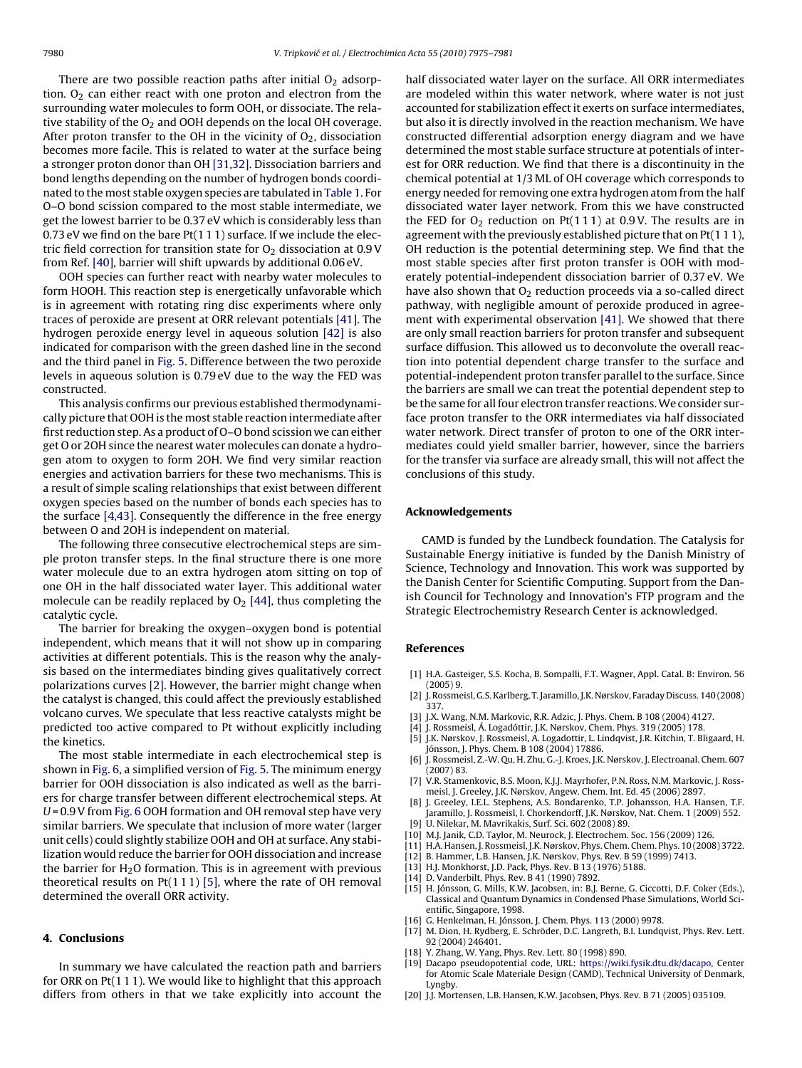<span id="page-5-0"></span>There are two possible reaction paths after initial  $O<sub>2</sub>$  adsorption.  $O_2$  can either react with one proton and electron from the surrounding water molecules to form OOH, or dissociate. The relative stability of the  $O_2$  and OOH depends on the local OH coverage. After proton transfer to the OH in the vicinity of  $O_2$ , dissociation becomes more facile. This is related to water at the surface being a stronger proton donor than OH [\[31,32\]. D](#page-6-0)issociation barriers and bond lengths depending on the number of hydrogen bonds coordinated to the most stable oxygen species are tabulated in [Table 1. F](#page-2-0)or O–O bond scission compared to the most stable intermediate, we get the lowest barrier to be 0.37 eV which is considerably less than 0.73 eV we find on the bare Pt(1 1 1) surface. If we include the electric field correction for transition state for  $O<sub>2</sub>$  dissociation at 0.9 V from Ref. [\[40\], b](#page-6-0)arrier will shift upwards by additional 0.06 eV.

OOH species can further react with nearby water molecules to form HOOH. This reaction step is energetically unfavorable which is in agreement with rotating ring disc experiments where only traces of peroxide are present at ORR relevant potentials [\[41\]. T](#page-6-0)he hydrogen peroxide energy level in aqueous solution [\[42\]](#page-6-0) is also indicated for comparison with the green dashed line in the second and the third panel in [Fig. 5. D](#page-3-0)ifference between the two peroxide levels in aqueous solution is 0.79 eV due to the way the FED was constructed.

This analysis confirms our previous established thermodynamically picture that OOH is the most stable reaction intermediate after first reduction step. As a product of O–O bond scission we can either get O or 2OH since the nearest water molecules can donate a hydrogen atom to oxygen to form 2OH. We find very similar reaction energies and activation barriers for these two mechanisms. This is a result of simple scaling relationships that exist between different oxygen species based on the number of bonds each species has to the surface [4,43]. Consequently the difference in the free energy between O and 2OH is independent on material.

The following three consecutive electrochemical steps are simple proton transfer steps. In the final structure there is one more water molecule due to an extra hydrogen atom sitting on top of one OH in the half dissociated water layer. This additional water molecule can be readily replaced by  $O<sub>2</sub>$  [\[44\], t](#page-6-0)hus completing the catalytic cycle.

The barrier for breaking the oxygen–oxygen bond is potential independent, which means that it will not show up in comparing activities at different potentials. This is the reason why the analysis based on the intermediates binding gives qualitatively correct polarizations curves [2]. However, the barrier might change when the catalyst is changed, this could affect the previously established volcano curves. We speculate that less reactive catalysts might be predicted too active compared to Pt without explicitly including the kinetics.

The most stable intermediate in each electrochemical step is shown in [Fig. 6, a](#page-4-0) simplified version of [Fig. 5. T](#page-3-0)he minimum energy barrier for OOH dissociation is also indicated as well as the barriers for charge transfer between different electrochemical steps. At U = 0.9 V from [Fig. 6](#page-4-0) OOH formation and OH removal step have very similar barriers. We speculate that inclusion of more water (larger unit cells) could slightly stabilize OOH and OH at surface. Any stabilization would reduce the barrier for OOH dissociation and increase the barrier for  $H<sub>2</sub>O$  formation. This is in agreement with previous theoretical results on  $Pt(1 1 1)$  [5], where the rate of OH removal determined the overall ORR activity.

# **4. Conclusions**

In summary we have calculated the reaction path and barriers for ORR on Pt(1 1 1). We would like to highlight that this approach differs from others in that we take explicitly into account the half dissociated water layer on the surface. All ORR intermediates are modeled within this water network, where water is not just accounted for stabilization effect it exerts on surface intermediates, but also it is directly involved in the reaction mechanism. We have constructed differential adsorption energy diagram and we have determined the most stable surface structure at potentials of interest for ORR reduction. We find that there is a discontinuity in the chemical potential at 1/3 ML of OH coverage which corresponds to energy needed for removing one extra hydrogen atom from the half dissociated water layer network. From this we have constructed the FED for  $O_2$  reduction on Pt(111) at 0.9V. The results are in agreement with the previously established picture that on Pt(111), OH reduction is the potential determining step. We find that the most stable species after first proton transfer is OOH with moderately potential-independent dissociation barrier of 0.37 eV. We have also shown that  $O<sub>2</sub>$  reduction proceeds via a so-called direct pathway, with negligible amount of peroxide produced in agreement with experimental observation [\[41\]. W](#page-6-0)e showed that there are only small reaction barriers for proton transfer and subsequent surface diffusion. This allowed us to deconvolute the overall reaction into potential dependent charge transfer to the surface and potential-independent proton transfer parallel to the surface. Since the barriers are small we can treat the potential dependent step to be the same for all four electron transfer reactions.We consider surface proton transfer to the ORR intermediates via half dissociated water network. Direct transfer of proton to one of the ORR intermediates could yield smaller barrier, however, since the barriers for the transfer via surface are already small, this will not affect the conclusions of this study.

#### **Acknowledgements**

CAMD is funded by the Lundbeck foundation. The Catalysis for Sustainable Energy initiative is funded by the Danish Ministry of Science, Technology and Innovation. This work was supported by the Danish Center for Scientific Computing. Support from the Danish Council for Technology and Innovation's FTP program and the Strategic Electrochemistry Research Center is acknowledged.

#### **References**

- [1] H.A. Gasteiger, S.S. Kocha, B. Sompalli, F.T. Wagner, Appl. Catal. B: Environ. 56  $(2005)$  9.
- [2] J. Rossmeisl, G.S. Karlberg, T. Jaramillo, J.K. Nørskov, Faraday Discuss. 140 (2008) 337.
- [3] J.X. Wang, N.M. Markovic, R.R. Adzic, J. Phys. Chem. B 108 (2004) 4127.
- J. Rossmeisl, Á. Logadóttir, J.K. Nørskov, Chem. Phys. 319 (2005) 178. [5] J.K. Nørskov, J. Rossmeisl, A. Logadottir, L. Lindqvist, J.R. Kitchin, T. Bligaard, H.
- Jónsson, J. Phys. Chem. B 108 (2004) 17886.
- [6] J. Rossmeisl, Z.-W. Qu, H. Zhu, G.-J. Kroes, J.K. Nørskov, J. Electroanal. Chem. 607 (2007) 83.
- [7] V.R. Stamenkovic, B.S. Moon, K.J.J. Mayrhofer, P.N. Ross, N.M. Markovic, J. Rossmeisl, J. Greeley, J.K. Nørskov, Angew. Chem. Int. Ed. 45 (2006) 2897.
- J. Greeley, I.E.L. Stephens, A.S. Bondarenko, T.P. Johansson, H.A. Hansen, T.F. Jaramillo, J. Rossmeisl, I. Chorkendorff, J.K. Nørskov, Nat. Chem. 1 (2009) 552. [9] U. Nilekar, M. Mavrikakis, Surf. Sci. 602 (2008) 89.
- [10] M.J. Janik, C.D. Taylor, M. Neurock, J. Electrochem. Soc. 156 (2009) 126.
- [11] H.A. Hansen, J. Rossmeisl, J.K. Nørskov, Phys. Chem. Chem. Phys. 10 (2008) 3722.
- [12] B. Hammer, L.B. Hansen, J.K. Nørskov, Phys. Rev. B 59 (1999) 7413.
- [13] H.J. Monkhorst, J.D. Pack, Phys. Rev. B 13 (1976) 5188.
- D. Vanderbilt, Phys. Rev. B 41 (1990) 7892
- [15] H. Jónsson, G. Mills, K.W. Jacobsen, in: B.J. Berne, G. Ciccotti, D.F. Coker (Eds.), Classical and Quantum Dynamics in Condensed Phase Simulations, World Scientific, Singapore, 1998.
- [16] G. Henkelman, H. Jónsson, J. Chem. Phys. 113 (2000) 9978.
- [17] M. Dion, H. Rydberg, E. Schröder, D.C. Langreth, B.I. Lundqvist, Phys. Rev. Lett. 92 (2004) 246401.
- [18] Y. Zhang, W. Yang, Phys. Rev. Lett. 80 (1998) 890.
- [19] Dacapo pseudopotential code, URL: <https://wiki.fysik.dtu.dk/dacapo>, Center for Atomic Scale Materiale Design (CAMD), Technical University of Denmark, Lyngby.
- [20] J.J. Mortensen, L.B. Hansen, K.W. Jacobsen, Phys. Rev. B 71 (2005) 035109.